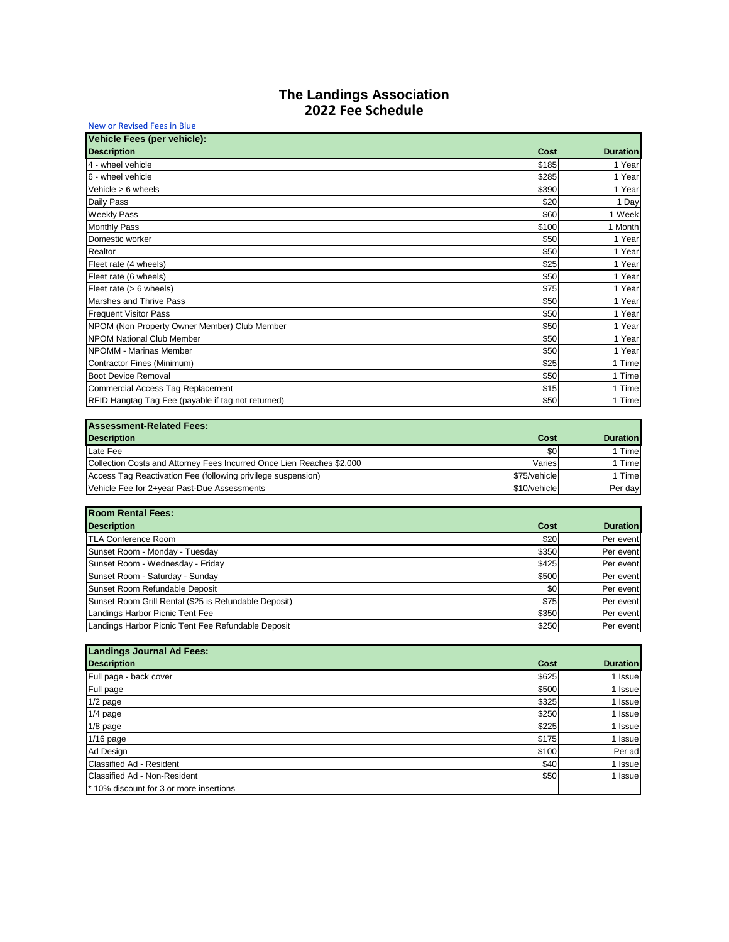| Vehicle Fees (per vehicle):                                           |              |                 |
|-----------------------------------------------------------------------|--------------|-----------------|
| <b>Description</b>                                                    | Cost         | <b>Duration</b> |
| 4 - wheel vehicle                                                     | \$185        | 1 Year          |
| 6 - wheel vehicle                                                     | \$285        | 1 Year          |
| Vehicle $> 6$ wheels                                                  | \$390        | 1 Year          |
| Daily Pass                                                            | \$20         | 1 Day           |
| <b>Weekly Pass</b>                                                    | \$60         | 1 Week          |
| <b>Monthly Pass</b>                                                   | \$100        | 1 Month         |
| Domestic worker                                                       | \$50         | 1 Year          |
| Realtor                                                               | \$50         | 1 Year          |
| Fleet rate (4 wheels)                                                 | \$25         | 1 Year          |
| Fleet rate (6 wheels)                                                 | \$50         | 1 Year          |
| Fleet rate $(> 6$ wheels)                                             | \$75         | 1 Year          |
| Marshes and Thrive Pass                                               | \$50         | 1 Year          |
| <b>Frequent Visitor Pass</b>                                          | \$50         | 1 Year          |
| NPOM (Non Property Owner Member) Club Member                          | \$50         | 1 Year          |
| <b>NPOM National Club Member</b>                                      | \$50         | 1 Year          |
| NPOMM - Marinas Member                                                | \$50         | 1 Year          |
| Contractor Fines (Minimum)                                            | \$25         | 1 Time          |
| <b>Boot Device Removal</b>                                            | \$50         | 1 Time          |
| Commercial Access Tag Replacement                                     | \$15         | 1 Time          |
| RFID Hangtag Tag Fee (payable if tag not returned)                    | \$50         | 1 Time          |
| <b>Assessment-Related Fees:</b>                                       |              |                 |
| <b>Description</b>                                                    | Cost         | <b>Duration</b> |
| Late Fee                                                              | \$0          | 1 Time          |
| Collection Costs and Attorney Fees Incurred Once Lien Reaches \$2,000 | Varies       | 1 Time          |
| Access Tag Reactivation Fee (following privilege suspension)          | \$75/vehicle | 1 Time          |
| Vehicle Fee for 2+year Past-Due Assessments                           | \$10/vehicle | Per day         |
|                                                                       |              |                 |
| <b>Room Rental Fees:</b>                                              |              |                 |
| <b>Description</b>                                                    | Cost         | <b>Duration</b> |
| <b>TLA Conference Room</b>                                            | \$20         | Per event       |
| Sunset Room - Monday - Tuesday                                        | \$350        | Per event       |
| Sunset Room - Wednesday - Friday                                      | \$425        | Per event       |
| Sunset Room - Saturday - Sunday                                       | \$500        | Per event       |
| Sunset Room Refundable Deposit                                        | \$0          | Per event       |
| Sunset Room Grill Rental (\$25 is Refundable Deposit)                 | \$75         | Per event       |
| Landings Harbor Picnic Tent Fee                                       | \$350        | Per event       |
| Landings Harbor Picnic Tent Fee Refundable Deposit                    | \$250        | Per event       |
|                                                                       |              |                 |

| Lanungs Juunial Au Fees.                           |       |                 |
|----------------------------------------------------|-------|-----------------|
| <b>Description</b>                                 | Cost  | <b>Duration</b> |
| Full page - back cover                             | \$625 | 1 Issue         |
| Full page                                          | \$500 | 1 Issue         |
| $1/2$ page                                         | \$325 | 1 Issue         |
| $1/4$ page                                         | \$250 | 1 Issue         |
| $1/8$ page                                         | \$225 | 1 Issue         |
| $1/16$ page                                        | \$175 | 1 Issue         |
| Ad Design                                          | \$100 | Per ad          |
| Classified Ad - Resident                           | \$40  | 1 Issue         |
| Classified Ad - Non-Resident                       | \$50  | 1 Issue         |
| <sup>*</sup> 10% discount for 3 or more insertions |       |                 |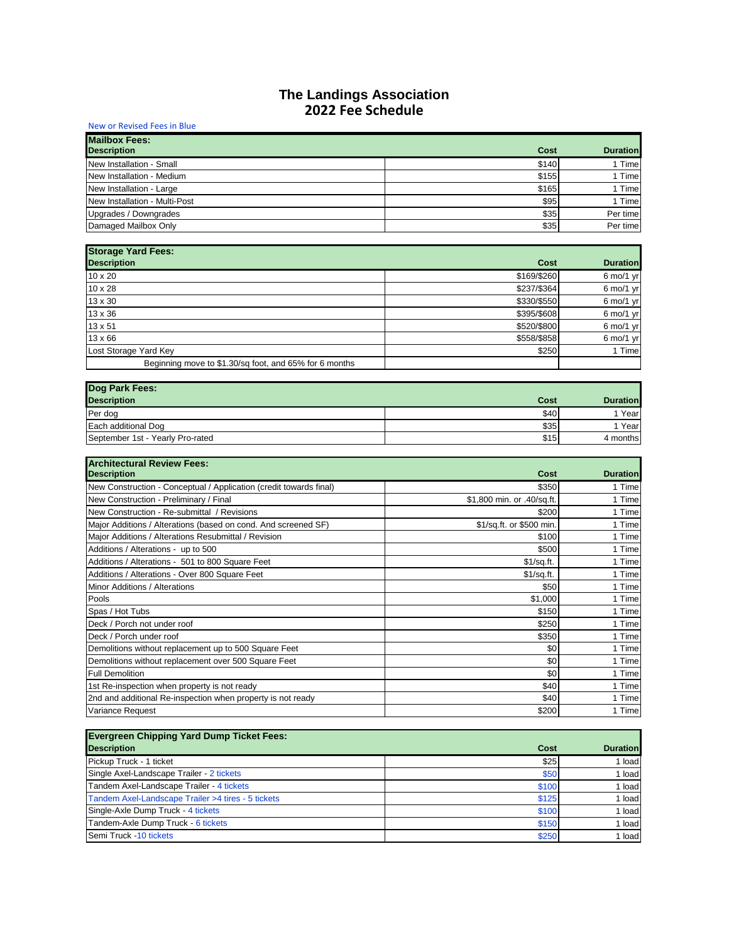| New or Revised Fees in Blue                |       |                 |
|--------------------------------------------|-------|-----------------|
| <b>Mailbox Fees:</b><br><b>Description</b> | Cost  | <b>Duration</b> |
| New Installation - Small                   | \$140 | 1 Time          |
| New Installation - Medium                  | \$155 | 1 Time          |
| New Installation - Large                   | \$165 | 1 Time          |
| New Installation - Multi-Post              | \$95  | 1 Time          |
| Upgrades / Downgrades                      | \$35  | Per time        |
| Damaged Mailbox Only                       | \$35  | Per time        |

| <b>Storage Yard Fees:</b>                              |             |                              |
|--------------------------------------------------------|-------------|------------------------------|
| <b>Description</b>                                     | Cost        | <b>Duration</b>              |
| $10 \times 20$                                         | \$169/\$260 | $6 \text{ mol}/1 \text{ yr}$ |
| 10 x 28                                                | \$237/\$364 | $6 \text{ mol}/1 \text{ yr}$ |
| 13 x 30                                                | \$330/\$550 | $6 \text{ mol}/1 \text{ yr}$ |
| 13 x 36                                                | \$395/\$608 | $6 \text{ mol}/1 \text{ yr}$ |
| 13 x 51                                                | \$520/\$800 | $6 \text{ mol}/1 \text{ yr}$ |
| $13 \times 66$                                         | \$558/\$858 | $6 \text{ mol}/1 \text{ yr}$ |
| Lost Storage Yard Key                                  | \$250       | 1 Time                       |
| Beginning move to \$1.30/sq foot, and 65% for 6 months |             |                              |

| Dog Park Fees:                   |      |                 |
|----------------------------------|------|-----------------|
| <b>Description</b>               | Cost | <b>Duration</b> |
| Per dog                          | \$40 | Year            |
| Each additional Dog              | \$35 | Year            |
| September 1st - Yearly Pro-rated | \$15 | 4 months        |

| <b>Architectural Review Fees:</b>                                  |                            |                 |
|--------------------------------------------------------------------|----------------------------|-----------------|
| <b>Description</b>                                                 | Cost                       | <b>Duration</b> |
| New Construction - Conceptual / Application (credit towards final) | \$350                      | 1 Time          |
| New Construction - Preliminary / Final                             | \$1,800 min. or .40/sq.ft. | 1 Time          |
| New Construction - Re-submittal / Revisions                        | \$200                      | 1 Time          |
| Major Additions / Alterations (based on cond. And screened SF)     | \$1/sq.ft. or \$500 min.   | 1 Time          |
| Major Additions / Alterations Resubmittal / Revision               | \$100                      | 1 Time          |
| Additions / Alterations - up to 500                                | \$500                      | 1 Time          |
| Additions / Alterations - 501 to 800 Square Feet                   | \$1/sq.t.                  | 1 Time          |
| Additions / Alterations - Over 800 Square Feet                     | \$1/sq.fr.                 | 1 Time          |
| Minor Additions / Alterations                                      | \$50                       | 1 Time          |
| Pools                                                              | \$1,000                    | 1 Time          |
| Spas / Hot Tubs                                                    | \$150                      | 1 Time          |
| Deck / Porch not under roof                                        | \$250                      | 1 Time          |
| Deck / Porch under roof                                            | \$350                      | 1 Time          |
| Demolitions without replacement up to 500 Square Feet              | \$0                        | 1 Time          |
| Demolitions without replacement over 500 Square Feet               | \$0                        | 1 Time          |
| <b>Full Demolition</b>                                             | \$0                        | 1 Time          |
| 1st Re-inspection when property is not ready                       | \$40                       | 1 Time          |
| 2nd and additional Re-inspection when property is not ready        | \$40                       | 1 Time          |
| Variance Request                                                   | \$200                      | 1 Time          |

| <b>Evergreen Chipping Yard Dump Ticket Fees:</b>   |       |                 |
|----------------------------------------------------|-------|-----------------|
| <b>Description</b>                                 | Cost  | <b>Duration</b> |
| Pickup Truck - 1 ticket                            | \$25  | 1 load          |
| Single Axel-Landscape Trailer - 2 tickets          | \$50  | 1 load          |
| Tandem Axel-Landscape Trailer - 4 tickets          | \$100 | 1 load          |
| Tandem Axel-Landscape Trailer >4 tires - 5 tickets | \$125 | 1 load          |
| Single-Axle Dump Truck - 4 tickets                 | \$100 | 1 load          |
| Tandem-Axle Dump Truck - 6 tickets                 | \$150 | 1 load          |
| Semi Truck -10 tickets                             | \$250 | 1 load          |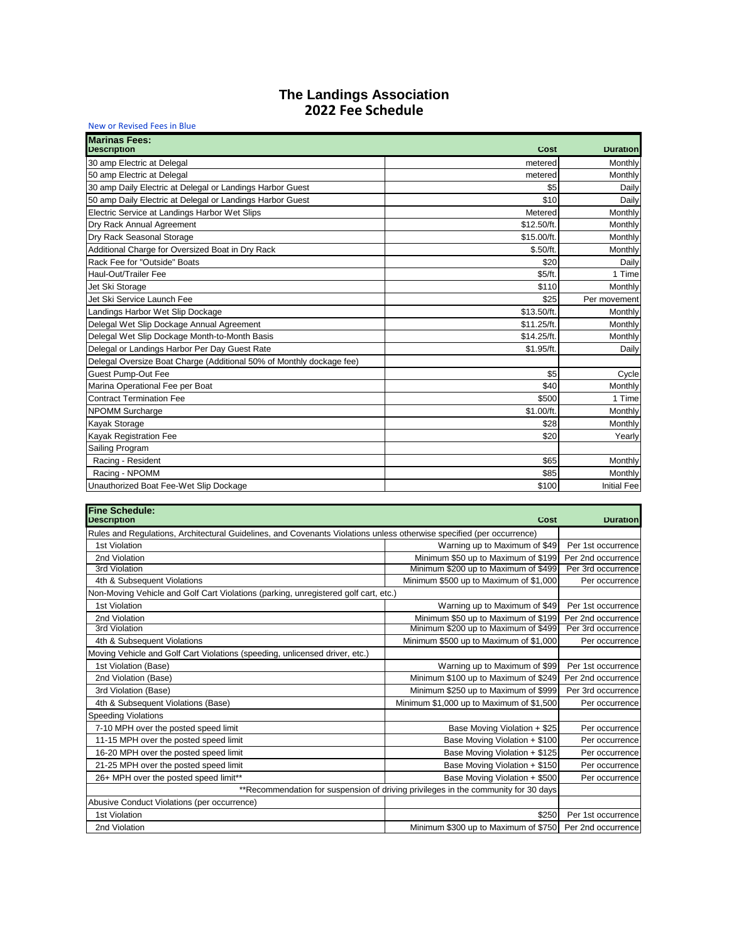| New or Revised Fees in Blue                                          |             |                    |
|----------------------------------------------------------------------|-------------|--------------------|
| <b>Marinas Fees:</b><br><b>Description</b>                           | Cost        | <b>Duration</b>    |
| 30 amp Electric at Delegal                                           | metered     | Monthly            |
| 50 amp Electric at Delegal                                           | metered     | Monthly            |
| 30 amp Daily Electric at Delegal or Landings Harbor Guest            | \$5         | Daily              |
| 50 amp Daily Electric at Delegal or Landings Harbor Guest            | \$10        | Daily              |
| Electric Service at Landings Harbor Wet Slips                        | Metered     | Monthly            |
| Dry Rack Annual Agreement                                            | \$12.50/ft. | Monthly            |
| Dry Rack Seasonal Storage                                            | \$15.00/ft. | Monthly            |
| Additional Charge for Oversized Boat in Dry Rack                     | \$.50/ft    | Monthly            |
| Rack Fee for "Outside" Boats                                         | \$20        | Daily              |
| Haul-Out/Trailer Fee                                                 | \$5/ft.     | 1 Time             |
| Jet Ski Storage                                                      | \$110       | Monthly            |
| Jet Ski Service Launch Fee                                           | \$25        | Per movement       |
| Landings Harbor Wet Slip Dockage                                     | \$13.50/ft. | Monthly            |
| Delegal Wet Slip Dockage Annual Agreement                            | \$11.25/ft. | Monthly            |
| Delegal Wet Slip Dockage Month-to-Month Basis                        | \$14.25/ft. | Monthly            |
| Delegal or Landings Harbor Per Day Guest Rate                        | \$1.95/ft.  | Daily              |
| Delegal Oversize Boat Charge (Additional 50% of Monthly dockage fee) |             |                    |
| Guest Pump-Out Fee                                                   | \$5         | Cycle              |
| Marina Operational Fee per Boat                                      | \$40        | Monthly            |
| <b>Contract Termination Fee</b>                                      | \$500       | 1 Time             |
| <b>NPOMM Surcharge</b>                                               | \$1.00/ft.  | Monthly            |
| Kayak Storage                                                        | \$28        | Monthly            |
| Kayak Registration Fee                                               | \$20        | Yearly             |
| Sailing Program                                                      |             |                    |
| Racing - Resident                                                    | \$65        | Monthly            |
| Racing - NPOMM                                                       | \$85        | Monthly            |
| Unauthorized Boat Fee-Wet Slip Dockage                               | \$100       | <b>Initial Fee</b> |

| Fine Schedule:<br><b>Description</b>                                                                                  | Cost                                                                                | <b>Duration</b>    |
|-----------------------------------------------------------------------------------------------------------------------|-------------------------------------------------------------------------------------|--------------------|
| Rules and Regulations, Architectural Guidelines, and Covenants Violations unless otherwise specified (per occurrence) |                                                                                     |                    |
| 1st Violation                                                                                                         | Warning up to Maximum of \$49                                                       | Per 1st occurrence |
| 2nd Violation                                                                                                         | Minimum \$50 up to Maximum of \$199                                                 | Per 2nd occurrence |
| 3rd Violation                                                                                                         | Minimum \$200 up to Maximum of \$499                                                | Per 3rd occurrence |
| 4th & Subsequent Violations                                                                                           | Minimum \$500 up to Maximum of \$1,000                                              | Per occurrence     |
| Non-Moving Vehicle and Golf Cart Violations (parking, unregistered golf cart, etc.)                                   |                                                                                     |                    |
| 1st Violation                                                                                                         | Warning up to Maximum of \$49                                                       | Per 1st occurrence |
| 2nd Violation                                                                                                         | Minimum \$50 up to Maximum of \$199                                                 | Per 2nd occurrence |
| 3rd Violation                                                                                                         | Minimum \$200 up to Maximum of \$499                                                | Per 3rd occurrence |
| 4th & Subsequent Violations                                                                                           | Minimum \$500 up to Maximum of \$1,000                                              | Per occurrence     |
| Moving Vehicle and Golf Cart Violations (speeding, unlicensed driver, etc.)                                           |                                                                                     |                    |
| 1st Violation (Base)                                                                                                  | Warning up to Maximum of \$99                                                       | Per 1st occurrence |
| 2nd Violation (Base)                                                                                                  | Minimum \$100 up to Maximum of \$249                                                | Per 2nd occurrence |
| 3rd Violation (Base)                                                                                                  | Minimum \$250 up to Maximum of \$999                                                | Per 3rd occurrence |
| 4th & Subsequent Violations (Base)                                                                                    | Minimum \$1,000 up to Maximum of \$1,500                                            | Per occurrence     |
| <b>Speeding Violations</b>                                                                                            |                                                                                     |                    |
| 7-10 MPH over the posted speed limit                                                                                  | Base Moving Violation + \$25                                                        | Per occurrence     |
| 11-15 MPH over the posted speed limit                                                                                 | Base Moving Violation + \$100                                                       | Per occurrence     |
| 16-20 MPH over the posted speed limit                                                                                 | Base Moving Violation + \$125                                                       | Per occurrence     |
| 21-25 MPH over the posted speed limit                                                                                 | Base Moving Violation + \$150                                                       | Per occurrence     |
| 26+ MPH over the posted speed limit**                                                                                 | Base Moving Violation + \$500                                                       | Per occurrence     |
|                                                                                                                       | ** Recommendation for suspension of driving privileges in the community for 30 days |                    |
| Abusive Conduct Violations (per occurrence)                                                                           |                                                                                     |                    |
| 1st Violation                                                                                                         | \$250                                                                               | Per 1st occurrence |
| 2nd Violation                                                                                                         | Minimum \$300 up to Maximum of \$750 Per 2nd occurrence                             |                    |